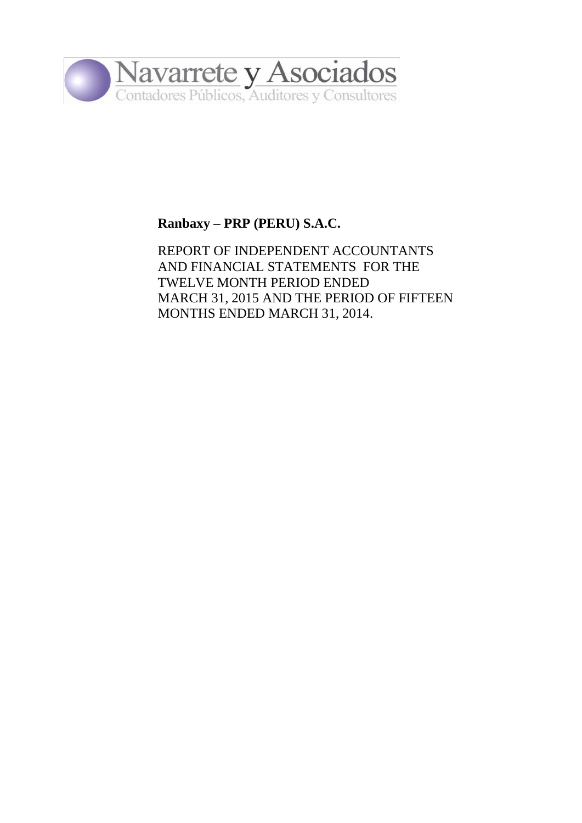

## **Ranbaxy – PRP (PERU) S.A.C.**

REPORT OF INDEPENDENT ACCOUNTANTS AND FINANCIAL STATEMENTS FOR THE TWELVE MONTH PERIOD ENDED MARCH 31, 2015 AND THE PERIOD OF FIFTEEN MONTHS ENDED MARCH 31, 2014.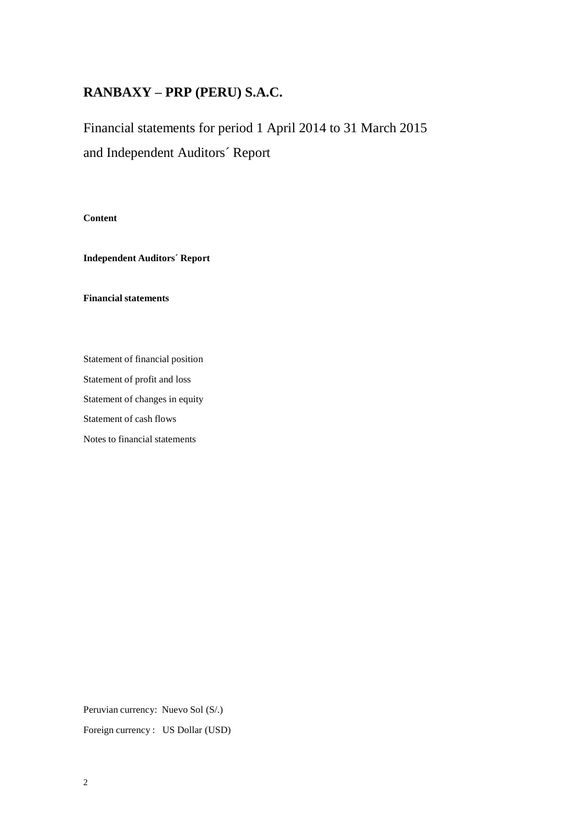Financial statements for period 1 April 2014 to 31 March 2015 and Independent Auditors´ Report

**Content**

**Independent Auditors´ Report**

**Financial statements**

Statement of financial position Statement of profit and loss Statement of changes in equity Statement of cash flows Notes to financial statements

Peruvian currency: Nuevo Sol (S/.)

Foreign currency : US Dollar (USD)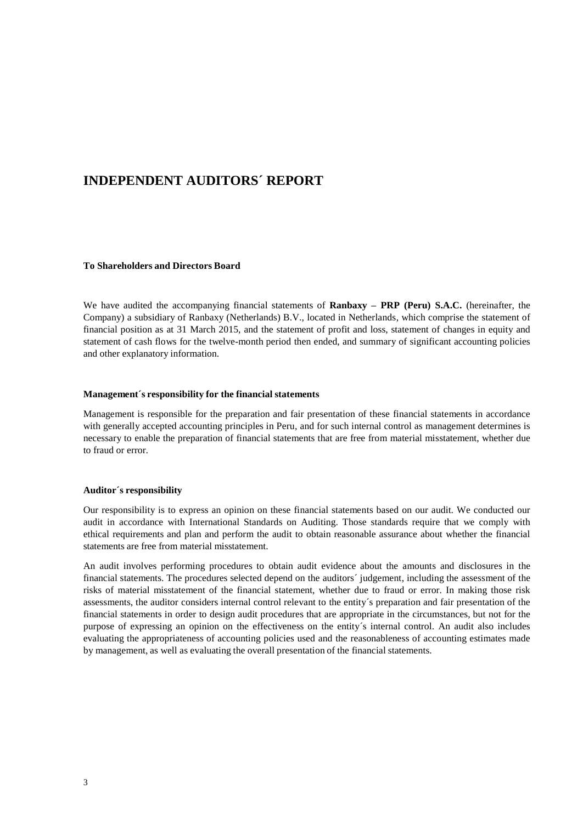### **INDEPENDENT AUDITORS´ REPORT**

#### **To Shareholders and Directors Board**

We have audited the accompanying financial statements of **Ranbaxy – PRP (Peru) S.A.C.** (hereinafter, the Company) a subsidiary of Ranbaxy (Netherlands) B.V., located in Netherlands, which comprise the statement of financial position as at 31 March 2015, and the statement of profit and loss, statement of changes in equity and statement of cash flows for the twelve-month period then ended, and summary of significant accounting policies and other explanatory information.

#### **Management´s responsibility for the financial statements**

Management is responsible for the preparation and fair presentation of these financial statements in accordance with generally accepted accounting principles in Peru, and for such internal control as management determines is necessary to enable the preparation of financial statements that are free from material misstatement, whether due to fraud or error.

#### **Auditor´s responsibility**

Our responsibility is to express an opinion on these financial statements based on our audit. We conducted our audit in accordance with International Standards on Auditing. Those standards require that we comply with ethical requirements and plan and perform the audit to obtain reasonable assurance about whether the financial statements are free from material misstatement.

An audit involves performing procedures to obtain audit evidence about the amounts and disclosures in the financial statements. The procedures selected depend on the auditors´ judgement, including the assessment of the risks of material misstatement of the financial statement, whether due to fraud or error. In making those risk assessments, the auditor considers internal control relevant to the entity´s preparation and fair presentation of the financial statements in order to design audit procedures that are appropriate in the circumstances, but not for the purpose of expressing an opinion on the effectiveness on the entity´s internal control. An audit also includes evaluating the appropriateness of accounting policies used and the reasonableness of accounting estimates made by management, as well as evaluating the overall presentation of the financial statements.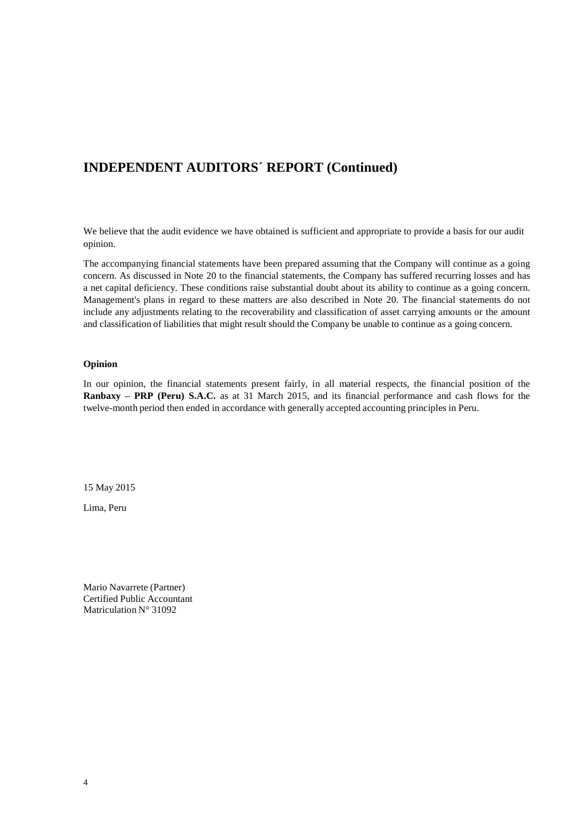## **INDEPENDENT AUDITORS´ REPORT (Continued)**

We believe that the audit evidence we have obtained is sufficient and appropriate to provide a basis for our audit opinion.

The accompanying financial statements have been prepared assuming that the Company will continue as a going concern. As discussed in Note 20 to the financial statements, the Company has suffered recurring losses and has a net capital deficiency. These conditions raise substantial doubt about its ability to continue as a going concern. Management's plans in regard to these matters are also described in Note 20. The financial statements do not include any adjustments relating to the recoverability and classification of asset carrying amounts or the amount and classification of liabilities that might result should the Company be unable to continue as a going concern.

#### **Opinion**

In our opinion, the financial statements present fairly, in all material respects, the financial position of the **Ranbaxy – PRP (Peru) S.A.C.** as at 31 March 2015, and its financial performance and cash flows for the twelve-month period then ended in accordance with generally accepted accounting principles in Peru.

15 May 2015

Lima, Peru

Mario Navarrete (Partner) Certified Public Accountant Matriculation N° 31092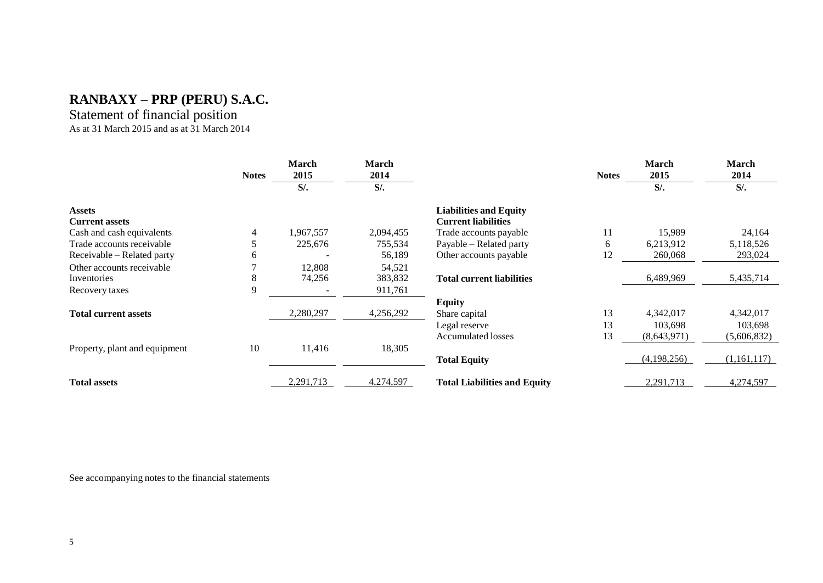### Statement of financial position As at 31 March 2015 and as at 31 March 2014

|                               | <b>Notes</b> | <b>March</b><br>2015 | <b>March</b><br>2014 |                                     | <b>Notes</b> | March<br>2015 | March<br>2014 |
|-------------------------------|--------------|----------------------|----------------------|-------------------------------------|--------------|---------------|---------------|
|                               |              | $S$ /.               | $S$ /.               |                                     |              | $S$ /.        | $S$ /.        |
| <b>Assets</b>                 |              |                      |                      | <b>Liabilities and Equity</b>       |              |               |               |
| <b>Current assets</b>         |              |                      |                      | <b>Current liabilities</b>          |              |               |               |
| Cash and cash equivalents     | 4            | 1,967,557            | 2,094,455            | Trade accounts payable              | 11           | 15,989        | 24,164        |
| Trade accounts receivable     |              | 225,676              | 755,534              | Payable - Related party             | 6            | 6,213,912     | 5,118,526     |
| Receivable – Related party    | h            |                      | 56,189               | Other accounts payable              | 12           | 260,068       | 293,024       |
| Other accounts receivable     |              | 12,808               | 54,521               |                                     |              |               |               |
| Inventories                   | 8            | 74,256               | 383,832              | <b>Total current liabilities</b>    |              | 6,489,969     | 5,435,714     |
| Recovery taxes                | 9            |                      | 911,761              |                                     |              |               |               |
|                               |              |                      |                      | <b>Equity</b>                       |              |               |               |
| <b>Total current assets</b>   |              | 2,280,297            | 4,256,292            | Share capital                       | 13           | 4,342,017     | 4,342,017     |
|                               |              |                      |                      | Legal reserve                       | 13           | 103,698       | 103,698       |
|                               |              |                      |                      | <b>Accumulated losses</b>           | 13           | (8,643,971)   | (5,606,832)   |
| Property, plant and equipment | 10           | 11,416               | 18,305               |                                     |              |               |               |
|                               |              |                      |                      | <b>Total Equity</b>                 |              | (4,198,256)   | (1,161,117)   |
| <b>Total assets</b>           |              | 2,291,713            | 4,274,597            | <b>Total Liabilities and Equity</b> |              | 2,291,713     | 4,274,597     |

See accompanying notes to the financial statements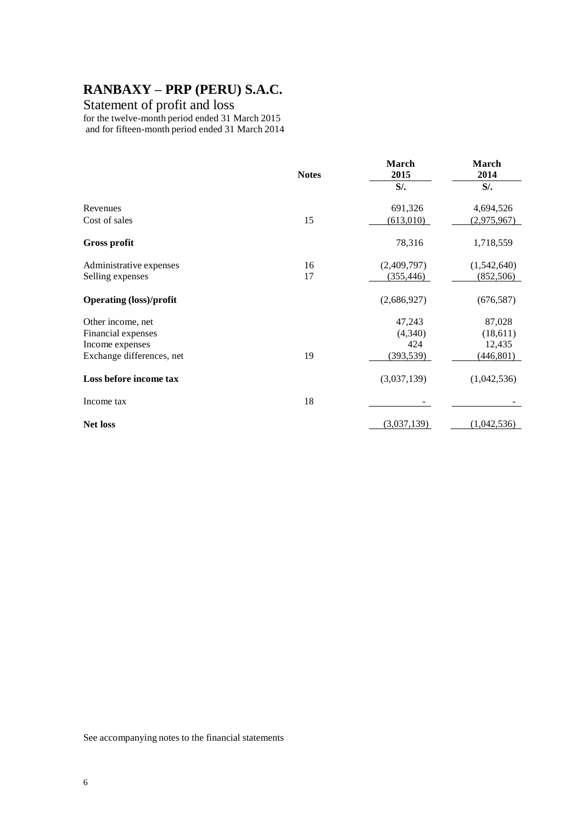### Statement of profit and loss

for the twelve-month period ended 31 March 2015 and for fifteen-month period ended 31 March 2014

|                                | <b>Notes</b> | March<br>2015 | March<br>2014 |
|--------------------------------|--------------|---------------|---------------|
|                                |              | $S$ /.        | $S$ /.        |
| Revenues                       |              | 691,326       | 4,694,526     |
| Cost of sales                  | 15           | (613,010)     | (2,975,967)   |
| <b>Gross profit</b>            |              | 78,316        | 1,718,559     |
| Administrative expenses        | 16           | (2,409,797)   | (1,542,640)   |
| Selling expenses               | 17           | (355, 446)    | (852, 506)    |
| <b>Operating (loss)/profit</b> |              | (2,686,927)   | (676, 587)    |
| Other income, net              |              | 47,243        | 87,028        |
| Financial expenses             |              | (4,340)       | (18,611)      |
| Income expenses                |              | 424           | 12,435        |
| Exchange differences, net      | 19           | (393, 539)    | (446, 801)    |
| Loss before income tax         |              | (3,037,139)   | (1,042,536)   |
| Income tax                     | 18           |               |               |
| <b>Net loss</b>                |              | (3,037,139)   | (1,042,536)   |

See accompanying notes to the financial statements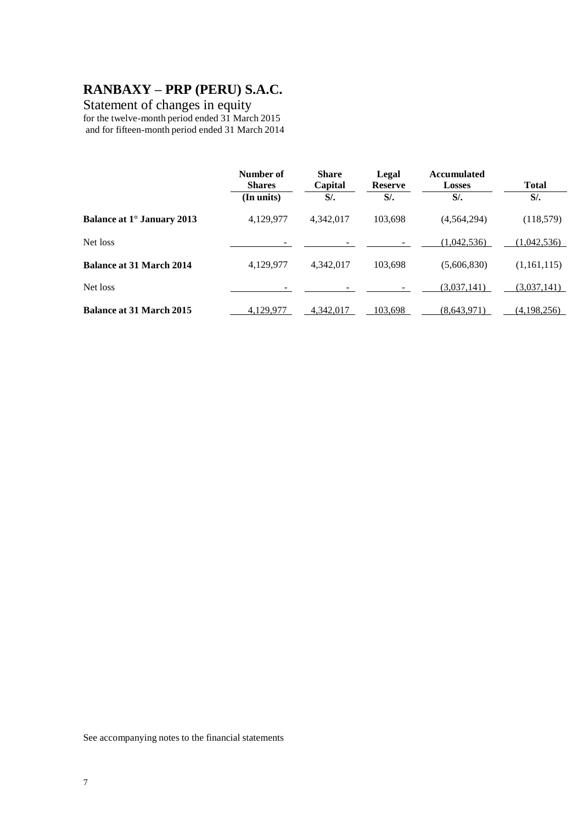### Statement of changes in equity

for the twelve-month period ended 31 March 2015 and for fifteen-month period ended 31 March 2014

|                                 | Number of<br><b>Shares</b><br>(In units) | <b>Share</b><br>Capital<br>$S$ /. | Legal<br><b>Reserve</b><br>$S$ /. | <b>Accumulated</b><br><b>Losses</b><br>$S$ . | <b>Total</b><br>$S$ /. |
|---------------------------------|------------------------------------------|-----------------------------------|-----------------------------------|----------------------------------------------|------------------------|
| Balance at 1° January 2013      | 4,129,977                                | 4,342,017                         | 103,698                           | (4, 564, 294)                                | (118,579)              |
| Net loss                        |                                          |                                   |                                   | (1.042.536)                                  | (1,042,536)            |
| <b>Balance at 31 March 2014</b> | 4,129,977                                | 4,342,017                         | 103,698                           | (5,606,830)                                  | (1,161,115)            |
| Net loss                        |                                          |                                   |                                   | (3,037,141)                                  | (3,037,141)            |
| <b>Balance at 31 March 2015</b> | 4,129,977                                | 4.342.017                         | 103,698                           | (8.643.971)                                  | (4,198,256)            |

See accompanying notes to the financial statements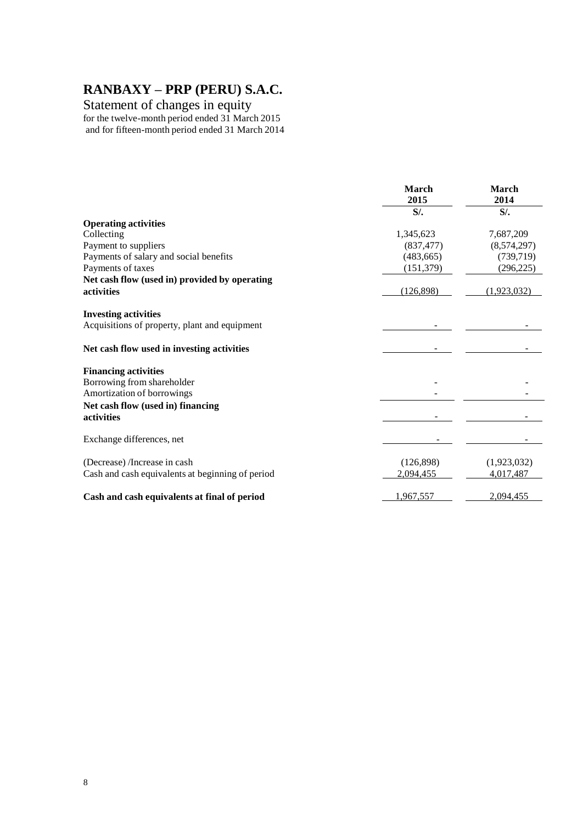### Statement of changes in equity

for the twelve-month period ended 31 March 2015 and for fifteen-month period ended 31 March 2014

|                                                                              | <b>March</b><br>2015 | <b>March</b><br>2014 |
|------------------------------------------------------------------------------|----------------------|----------------------|
|                                                                              | $S$ /.               | $S$ /.               |
| <b>Operating activities</b>                                                  |                      |                      |
| Collecting                                                                   | 1,345,623            | 7,687,209            |
| Payment to suppliers                                                         | (837, 477)           | (8,574,297)          |
| Payments of salary and social benefits                                       | (483, 665)           | (739, 719)           |
| Payments of taxes                                                            | (151, 379)           | (296, 225)           |
| Net cash flow (used in) provided by operating                                |                      |                      |
| activities                                                                   | (126,898)            | (1.923.032)          |
|                                                                              |                      |                      |
| <b>Investing activities</b><br>Acquisitions of property, plant and equipment |                      |                      |
|                                                                              |                      |                      |
| Net cash flow used in investing activities                                   |                      |                      |
| <b>Financing activities</b>                                                  |                      |                      |
| Borrowing from shareholder                                                   |                      |                      |
| Amortization of borrowings                                                   |                      |                      |
| Net cash flow (used in) financing                                            |                      |                      |
| activities                                                                   |                      |                      |
| Exchange differences, net                                                    |                      |                      |
|                                                                              |                      |                      |
| (Decrease) /Increase in cash                                                 | (126,898)            | (1,923,032)          |
| Cash and cash equivalents at beginning of period                             | 2,094,455            | 4,017,487            |
| Cash and cash equivalents at final of period                                 | 1,967,557            | 2,094,455            |
|                                                                              |                      |                      |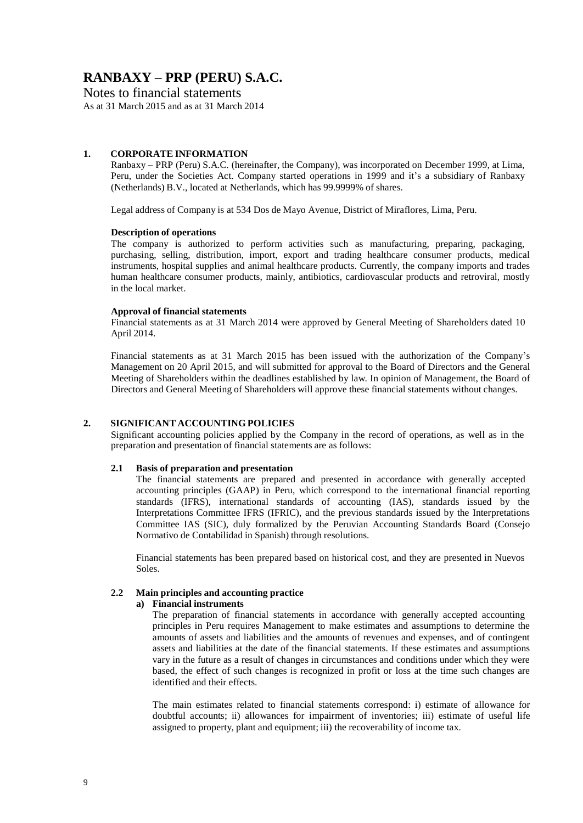### Notes to financial statements

As at 31 March 2015 and as at 31 March 2014

#### **1. CORPORATE INFORMATION**

Ranbaxy – PRP (Peru) S.A.C. (hereinafter, the Company), was incorporated on December 1999, at Lima, Peru, under the Societies Act. Company started operations in 1999 and it's a subsidiary of Ranbaxy (Netherlands) B.V., located at Netherlands, which has 99.9999% of shares.

Legal address of Company is at 534 Dos de Mayo Avenue, District of Miraflores, Lima, Peru.

#### **Description of operations**

The company is authorized to perform activities such as manufacturing, preparing, packaging, purchasing, selling, distribution, import, export and trading healthcare consumer products, medical instruments, hospital supplies and animal healthcare products. Currently, the company imports and trades human healthcare consumer products, mainly, antibiotics, cardiovascular products and retroviral, mostly in the local market.

#### **Approval of financial statements**

Financial statements as at 31 March 2014 were approved by General Meeting of Shareholders dated 10 April 2014.

Financial statements as at 31 March 2015 has been issued with the authorization of the Company's Management on 20 April 2015, and will submitted for approval to the Board of Directors and the General Meeting of Shareholders within the deadlines established by law. In opinion of Management, the Board of Directors and General Meeting of Shareholders will approve these financial statements without changes.

#### **2. SIGNIFICANT ACCOUNTING POLICIES**

Significant accounting policies applied by the Company in the record of operations, as well as in the preparation and presentation of financial statements are as follows:

#### **2.1 Basis of preparation and presentation**

The financial statements are prepared and presented in accordance with generally accepted accounting principles (GAAP) in Peru, which correspond to the international financial reporting standards (IFRS), international standards of accounting (IAS), standards issued by the Interpretations Committee IFRS (IFRIC), and the previous standards issued by the Interpretations Committee IAS (SIC), duly formalized by the Peruvian Accounting Standards Board (Consejo Normativo de Contabilidad in Spanish) through resolutions.

Financial statements has been prepared based on historical cost, and they are presented in Nuevos Soles.

#### **2.2 Main principles and accounting practice**

#### **a) Financial instruments**

The preparation of financial statements in accordance with generally accepted accounting principles in Peru requires Management to make estimates and assumptions to determine the amounts of assets and liabilities and the amounts of revenues and expenses, and of contingent assets and liabilities at the date of the financial statements. If these estimates and assumptions vary in the future as a result of changes in circumstances and conditions under which they were based, the effect of such changes is recognized in profit or loss at the time such changes are identified and their effects.

The main estimates related to financial statements correspond: i) estimate of allowance for doubtful accounts; ii) allowances for impairment of inventories; iii) estimate of useful life assigned to property, plant and equipment; iii) the recoverability of income tax.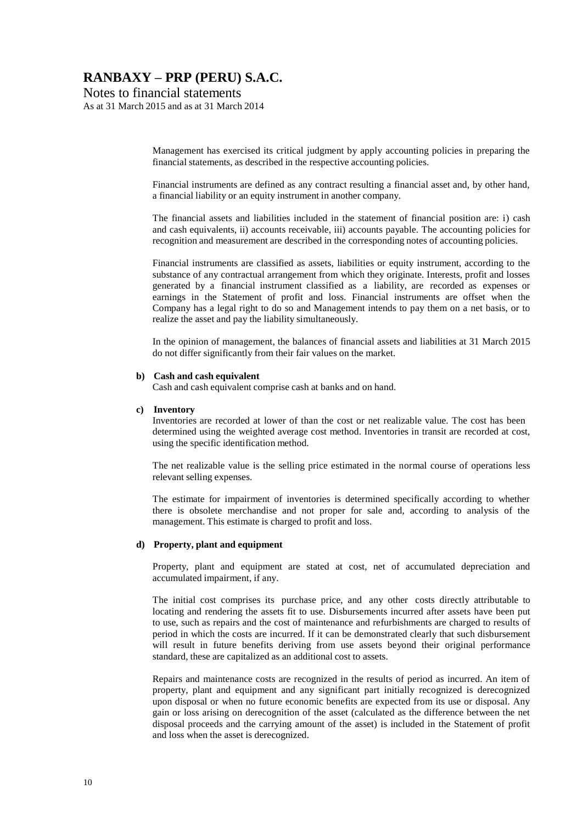Notes to financial statements

As at 31 March 2015 and as at 31 March 2014

Management has exercised its critical judgment by apply accounting policies in preparing the financial statements, as described in the respective accounting policies.

Financial instruments are defined as any contract resulting a financial asset and, by other hand, a financial liability or an equity instrument in another company.

The financial assets and liabilities included in the statement of financial position are: i) cash and cash equivalents, ii) accounts receivable, iii) accounts payable. The accounting policies for recognition and measurement are described in the corresponding notes of accounting policies.

Financial instruments are classified as assets, liabilities or equity instrument, according to the substance of any contractual arrangement from which they originate. Interests, profit and losses generated by a financial instrument classified as a liability, are recorded as expenses or earnings in the Statement of profit and loss. Financial instruments are offset when the Company has a legal right to do so and Management intends to pay them on a net basis, or to realize the asset and pay the liability simultaneously.

In the opinion of management, the balances of financial assets and liabilities at 31 March 2015 do not differ significantly from their fair values on the market.

#### **b) Cash and cash equivalent**

Cash and cash equivalent comprise cash at banks and on hand.

#### **c) Inventory**

Inventories are recorded at lower of than the cost or net realizable value. The cost has been determined using the weighted average cost method. Inventories in transit are recorded at cost, using the specific identification method.

The net realizable value is the selling price estimated in the normal course of operations less relevant selling expenses.

The estimate for impairment of inventories is determined specifically according to whether there is obsolete merchandise and not proper for sale and, according to analysis of the management. This estimate is charged to profit and loss.

#### **d) Property, plant and equipment**

Property, plant and equipment are stated at cost, net of accumulated depreciation and accumulated impairment, if any.

The initial cost comprises its purchase price, and any other costs directly attributable to locating and rendering the assets fit to use. Disbursements incurred after assets have been put to use, such as repairs and the cost of maintenance and refurbishments are charged to results of period in which the costs are incurred. If it can be demonstrated clearly that such disbursement will result in future benefits deriving from use assets beyond their original performance standard, these are capitalized as an additional cost to assets.

Repairs and maintenance costs are recognized in the results of period as incurred. An item of property, plant and equipment and any significant part initially recognized is derecognized upon disposal or when no future economic benefits are expected from its use or disposal. Any gain or loss arising on derecognition of the asset (calculated as the difference between the net disposal proceeds and the carrying amount of the asset) is included in the Statement of profit and loss when the asset is derecognized.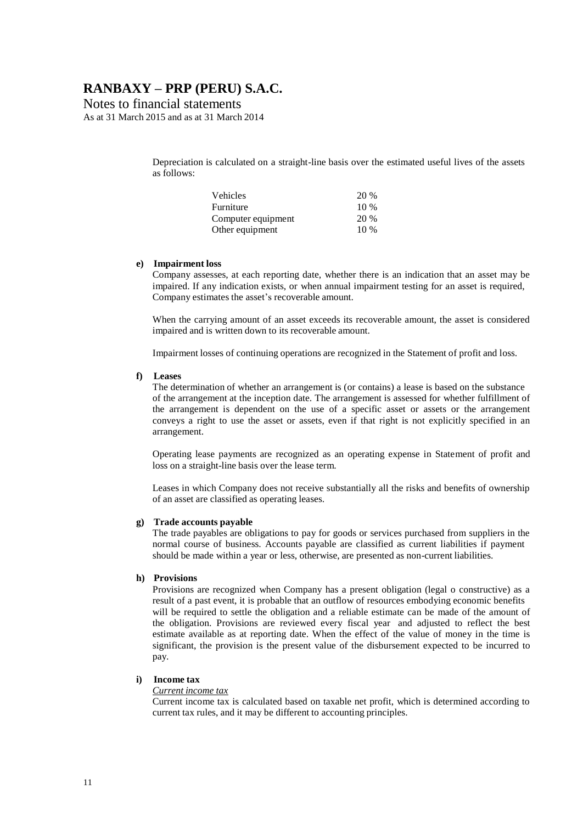Notes to financial statements

As at 31 March 2015 and as at 31 March 2014

Depreciation is calculated on a straight-line basis over the estimated useful lives of the assets as follows:

| Vehicles           | 20 %   |
|--------------------|--------|
| Furniture          | $10\%$ |
| Computer equipment | 20 %   |
| Other equipment    | $10\%$ |

#### **e) Impairment loss**

Company assesses, at each reporting date, whether there is an indication that an asset may be impaired. If any indication exists, or when annual impairment testing for an asset is required, Company estimates the asset's recoverable amount.

When the carrying amount of an asset exceeds its recoverable amount, the asset is considered impaired and is written down to its recoverable amount.

Impairment losses of continuing operations are recognized in the Statement of profit and loss.

#### **f) Leases**

The determination of whether an arrangement is (or contains) a lease is based on the substance of the arrangement at the inception date. The arrangement is assessed for whether fulfillment of the arrangement is dependent on the use of a specific asset or assets or the arrangement conveys a right to use the asset or assets, even if that right is not explicitly specified in an arrangement.

Operating lease payments are recognized as an operating expense in Statement of profit and loss on a straight-line basis over the lease term.

Leases in which Company does not receive substantially all the risks and benefits of ownership of an asset are classified as operating leases.

#### **g) Trade accounts payable**

The trade payables are obligations to pay for goods or services purchased from suppliers in the normal course of business. Accounts payable are classified as current liabilities if payment should be made within a year or less, otherwise, are presented as non-current liabilities.

#### **h) Provisions**

Provisions are recognized when Company has a present obligation (legal o constructive) as a result of a past event, it is probable that an outflow of resources embodying economic benefits will be required to settle the obligation and a reliable estimate can be made of the amount of the obligation. Provisions are reviewed every fiscal year and adjusted to reflect the best estimate available as at reporting date. When the effect of the value of money in the time is significant, the provision is the present value of the disbursement expected to be incurred to pay.

#### **i) Income tax**

#### *Current income tax*

Current income tax is calculated based on taxable net profit, which is determined according to current tax rules, and it may be different to accounting principles.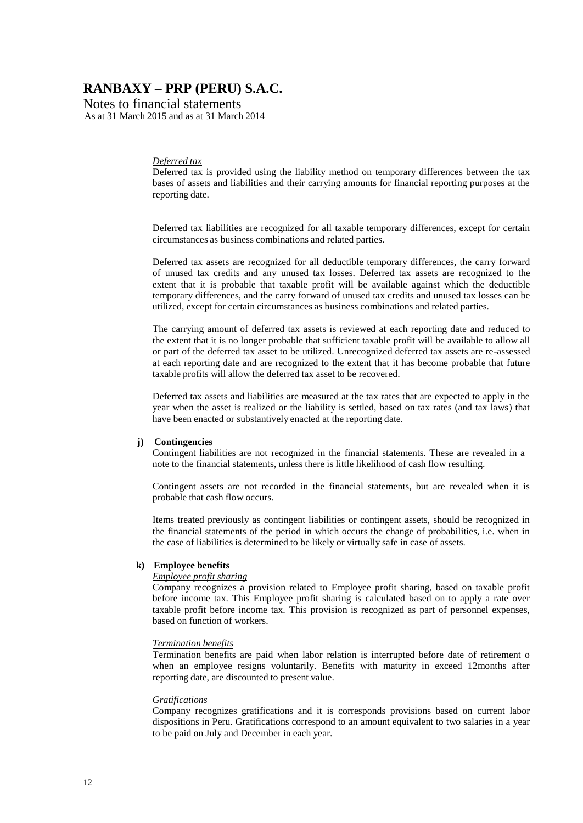Notes to financial statements As at 31 March 2015 and as at 31 March 2014

#### *Deferred tax*

Deferred tax is provided using the liability method on temporary differences between the tax bases of assets and liabilities and their carrying amounts for financial reporting purposes at the reporting date.

Deferred tax liabilities are recognized for all taxable temporary differences, except for certain circumstances as business combinations and related parties.

Deferred tax assets are recognized for all deductible temporary differences, the carry forward of unused tax credits and any unused tax losses. Deferred tax assets are recognized to the extent that it is probable that taxable profit will be available against which the deductible temporary differences, and the carry forward of unused tax credits and unused tax losses can be utilized, except for certain circumstances as business combinations and related parties.

The carrying amount of deferred tax assets is reviewed at each reporting date and reduced to the extent that it is no longer probable that sufficient taxable profit will be available to allow all or part of the deferred tax asset to be utilized. Unrecognized deferred tax assets are re-assessed at each reporting date and are recognized to the extent that it has become probable that future taxable profits will allow the deferred tax asset to be recovered.

Deferred tax assets and liabilities are measured at the tax rates that are expected to apply in the year when the asset is realized or the liability is settled, based on tax rates (and tax laws) that have been enacted or substantively enacted at the reporting date.

#### **j) Contingencies**

Contingent liabilities are not recognized in the financial statements. These are revealed in a note to the financial statements, unless there is little likelihood of cash flow resulting.

Contingent assets are not recorded in the financial statements, but are revealed when it is probable that cash flow occurs.

Items treated previously as contingent liabilities or contingent assets, should be recognized in the financial statements of the period in which occurs the change of probabilities, i.e. when in the case of liabilities is determined to be likely or virtually safe in case of assets.

#### **k) Employee benefits**

#### *Employee profit sharing*

Company recognizes a provision related to Employee profit sharing, based on taxable profit before income tax. This Employee profit sharing is calculated based on to apply a rate over taxable profit before income tax. This provision is recognized as part of personnel expenses, based on function of workers.

#### *Termination benefits*

Termination benefits are paid when labor relation is interrupted before date of retirement o when an employee resigns voluntarily. Benefits with maturity in exceed 12months after reporting date, are discounted to present value.

#### *Gratifications*

Company recognizes gratifications and it is corresponds provisions based on current labor dispositions in Peru. Gratifications correspond to an amount equivalent to two salaries in a year to be paid on July and December in each year.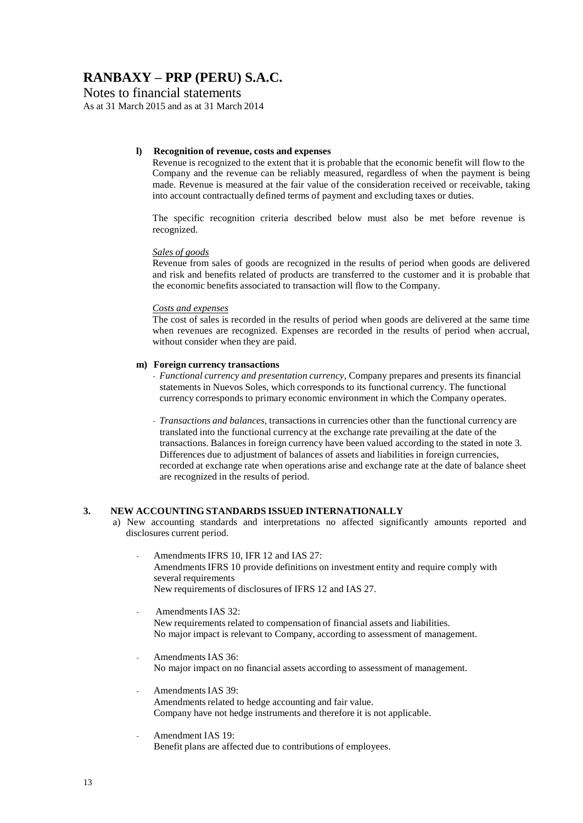Notes to financial statements

As at 31 March 2015 and as at 31 March 2014

#### **l) Recognition of revenue, costs and expenses**

Revenue is recognized to the extent that it is probable that the economic benefit will flow to the Company and the revenue can be reliably measured, regardless of when the payment is being made. Revenue is measured at the fair value of the consideration received or receivable, taking into account contractually defined terms of payment and excluding taxes or duties.

The specific recognition criteria described below must also be met before revenue is recognized.

#### *Sales of goods*

Revenue from sales of goods are recognized in the results of period when goods are delivered and risk and benefits related of products are transferred to the customer and it is probable that the economic benefits associated to transaction will flow to the Company.

#### *Costs and expenses*

The cost of sales is recorded in the results of period when goods are delivered at the same time when revenues are recognized. Expenses are recorded in the results of period when accrual, without consider when they are paid.

#### **m) Foreign currency transactions**

- *- Functional currency and presentation currency,* Company prepares and presents its financial statements in Nuevos Soles, which corresponds to its functional currency. The functional currency corresponds to primary economic environment in which the Company operates.
- *- Transactions and balances,* transactions in currencies other than the functional currency are translated into the functional currency at the exchange rate prevailing at the date of the transactions. Balances in foreign currency have been valued according to the stated in note 3. Differences due to adjustment of balances of assets and liabilities in foreign currencies, recorded at exchange rate when operations arise and exchange rate at the date of balance sheet are recognized in the results of period.

### **3. NEW ACCOUNTING STANDARDS ISSUED INTERNATIONALLY**

- a) New accounting standards and interpretations no affected significantly amounts reported and disclosures current period.
	- *-* AmendmentsIFRS 10, IFR 12 and IAS 27: AmendmentsIFRS 10 provide definitions on investment entity and require comply with several requirements New requirements of disclosures of IFRS 12 and IAS 27.
	- *-* AmendmentsIAS 32: New requirements related to compensation of financial assets and liabilities. No major impact is relevant to Company, according to assessment of management.
	- *-* AmendmentsIAS 36: No major impact on no financial assets according to assessment of management.
	- *-* AmendmentsIAS 39: Amendments related to hedge accounting and fair value. Company have not hedge instruments and therefore it is not applicable.
	- *-* Amendment IAS 19: Benefit plans are affected due to contributions of employees.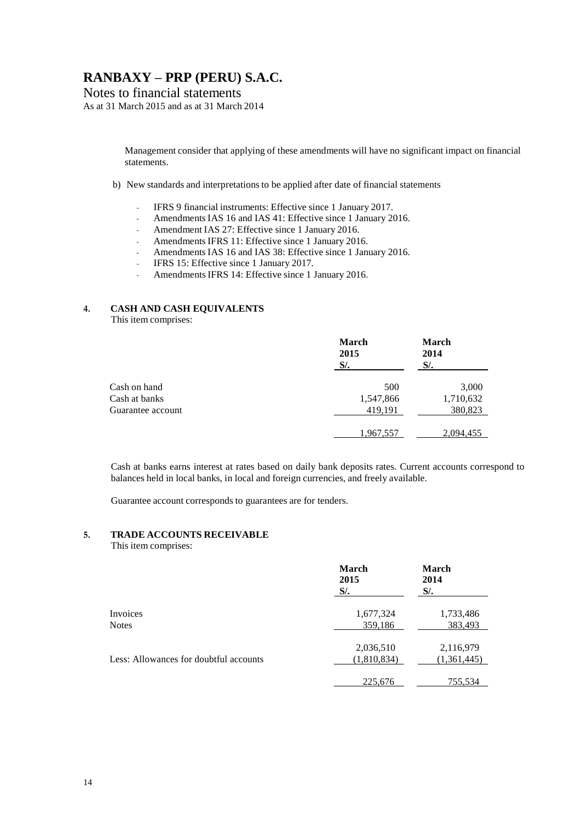### Notes to financial statements

As at 31 March 2015 and as at 31 March 2014

Management consider that applying of these amendments will have no significant impact on financial statements.

- b) New standards and interpretations to be applied after date of financial statements
	- *-* IFRS 9 financial instruments: Effective since 1 January 2017.
	- *-* AmendmentsIAS 16 and IAS 41: Effective since 1 January 2016.
	- *-* Amendment IAS 27: Effective since 1 January 2016.
	- *-* AmendmentsIFRS 11: Effective since 1 January 2016.
	- *-* AmendmentsIAS 16 and IAS 38: Effective since 1 January 2016.
	- *-* IFRS 15: Effective since 1 January 2017.
	- *-* AmendmentsIFRS 14: Effective since 1 January 2016.

### **4. CASH AND CASH EQUIVALENTS**

This item comprises:

|                   | <b>March</b><br>2015<br>$S$ . | <b>March</b><br>2014<br>$S$ . |
|-------------------|-------------------------------|-------------------------------|
| Cash on hand      | 500                           | 3,000                         |
| Cash at banks     | 1,547,866                     | 1,710,632                     |
| Guarantee account | 419,191                       | 380,823                       |
|                   | 1,967,557                     | 2,094,455                     |

Cash at banks earns interest at rates based on daily bank deposits rates. Current accounts correspond to balances held in local banks, in local and foreign currencies, and freely available.

Guarantee account corresponds to guarantees are for tenders.

#### **5. TRADE ACCOUNTS RECEIVABLE**

#### This item comprises:

|                                        | <b>March</b><br>2015<br>$S$ /. | <b>March</b><br>2014<br>$S$ /. |
|----------------------------------------|--------------------------------|--------------------------------|
| Invoices                               | 1,677,324                      | 1,733,486                      |
| <b>Notes</b>                           | 359,186                        | 383,493                        |
|                                        | 2,036,510                      | 2,116,979                      |
| Less: Allowances for doubtful accounts | (1,810,834)                    | (1,361,445)                    |
|                                        | 225,676                        | 755,534                        |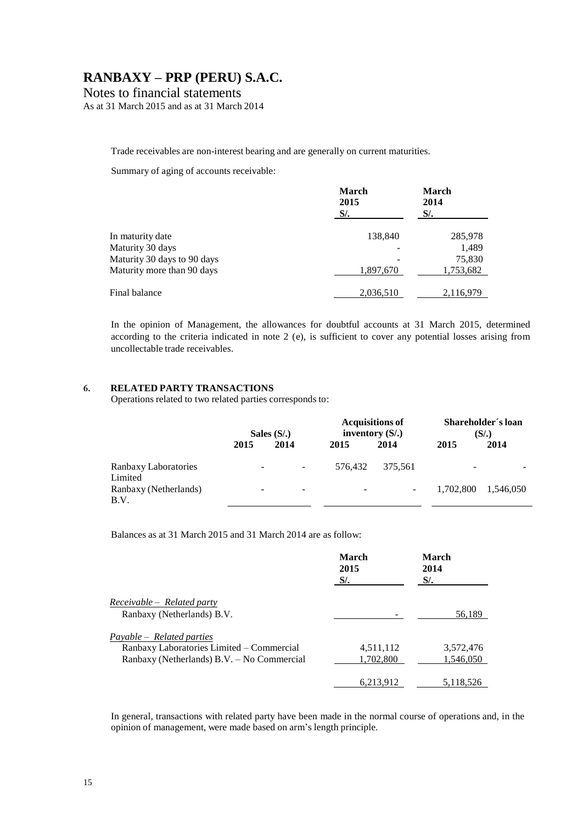### Notes to financial statements

As at 31 March 2015 and as at 31 March 2014

Trade receivables are non-interest bearing and are generally on current maturities.

Summary of aging of accounts receivable:

|                             | <b>March</b><br>2015<br>$S$ /. | <b>March</b><br>2014<br>$S$ . |
|-----------------------------|--------------------------------|-------------------------------|
| In maturity date            | 138,840                        | 285,978                       |
| Maturity 30 days            |                                | 1,489                         |
| Maturity 30 days to 90 days |                                | 75,830                        |
| Maturity more than 90 days  | 1,897,670                      | 1,753,682                     |
| Final balance               | 2,036,510                      | 2,116,979                     |

In the opinion of Management, the allowances for doubtful accounts at 31 March 2015, determined according to the criteria indicated in note 2 (e), is sufficient to cover any potential losses arising from uncollectable trade receivables.

#### **6. RELATED PARTY TRANSACTIONS**

Operations related to two related parties corresponds to:

|                                 |                          | Sales $(S/\lambda)$      |                          | <b>Acquisitions of</b><br>inventory $(S1)$ |           | Shareholder's loan<br>$(S/\lambda)$ |  |
|---------------------------------|--------------------------|--------------------------|--------------------------|--------------------------------------------|-----------|-------------------------------------|--|
|                                 | 2015                     | 2014                     | 2015                     | 2014                                       | 2015      | 2014                                |  |
| Ranbaxy Laboratories<br>Limited | $\overline{\phantom{0}}$ | $\overline{\phantom{a}}$ | 576.432                  | 375.561                                    | -         |                                     |  |
| Ranbaxy (Netherlands)<br>B.V.   | -                        | $\overline{\phantom{a}}$ | $\overline{\phantom{a}}$ |                                            | 1,702,800 | 1.546.050                           |  |

Balances as at 31 March 2015 and 31 March 2014 are as follow:

|                                                                                                                      | March<br>2015<br><i>S/.</i> | March<br>2014<br>$S$ . |
|----------------------------------------------------------------------------------------------------------------------|-----------------------------|------------------------|
| $Receivable - Related party$<br>Ranbaxy (Netherlands) B.V.                                                           |                             | 56,189                 |
| Payable – Related parties<br>Ranbaxy Laboratories Limited - Commercial<br>Ranbaxy (Netherlands) B.V. - No Commercial | 4,511,112<br>1.702.800      | 3,572,476<br>1,546,050 |
|                                                                                                                      | 6,213,912                   | 5,118,526              |

In general, transactions with related party have been made in the normal course of operations and, in the opinion of management, were made based on arm's length principle.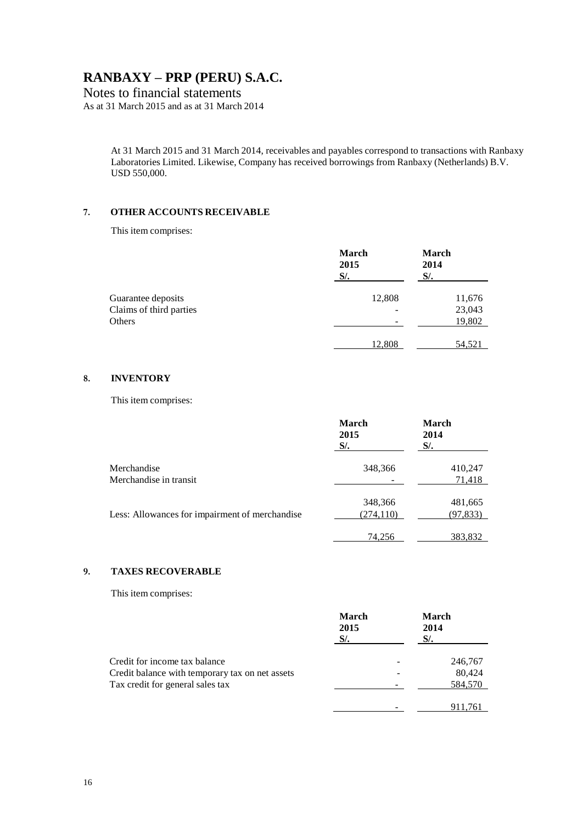### Notes to financial statements

As at 31 March 2015 and as at 31 March 2014

At 31 March 2015 and 31 March 2014, receivables and payables correspond to transactions with Ranbaxy Laboratories Limited. Likewise, Company has received borrowings from Ranbaxy (Netherlands) B.V. USD 550,000.

#### **7. OTHER ACCOUNTS RECEIVABLE**

This item comprises:

|                         | March<br>2015<br>$S$ /. | March<br>2014<br>$S$ . |
|-------------------------|-------------------------|------------------------|
| Guarantee deposits      | 12,808                  | 11,676                 |
| Claims of third parties |                         | 23,043                 |
| Others                  |                         | 19,802                 |
|                         | 12,808                  | 54,521                 |

#### **8. INVENTORY**

This item comprises:

|                                                | <b>March</b><br>2015<br>$S$ /. | <b>March</b><br>2014<br>$S$ /. |
|------------------------------------------------|--------------------------------|--------------------------------|
| Merchandise<br>Merchandise in transit          | 348,366                        | 410,247<br>71,418              |
| Less: Allowances for impairment of merchandise | 348,366<br>(274, 110)          | 481,665<br>(97, 833)           |
|                                                | 74.256                         | 383.832                        |

### **9. TAXES RECOVERABLE**

This item comprises:

|                                                 | <b>March</b><br>2015<br>$S$ /. | <b>March</b><br>2014<br>$S$ . |         |
|-------------------------------------------------|--------------------------------|-------------------------------|---------|
| Credit for income tax balance                   |                                |                               | 246,767 |
| Credit balance with temporary tax on net assets |                                |                               | 80,424  |
| Tax credit for general sales tax                |                                |                               | 584,570 |
|                                                 |                                |                               | 911,761 |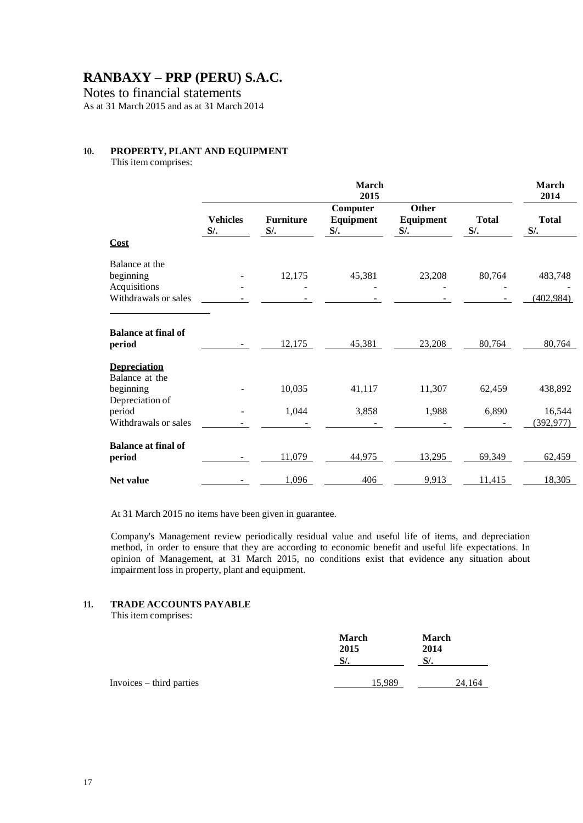Notes to financial statements

As at 31 March 2015 and as at 31 March 2014

#### **10. PROPERTY, PLANT AND EQUIPMENT**

This item comprises:

|                                                             |                           |                            | March<br>2015                   |                                     |                        | March<br>2014          |
|-------------------------------------------------------------|---------------------------|----------------------------|---------------------------------|-------------------------------------|------------------------|------------------------|
|                                                             | <b>Vehicles</b><br>$S$ /. | <b>Furniture</b><br>$S$ /. | Computer<br>Equipment<br>$S$ /. | <b>Other</b><br>Equipment<br>$S$ /. | <b>Total</b><br>$S$ /. | <b>Total</b><br>$S$ /. |
| Cost                                                        |                           |                            |                                 |                                     |                        |                        |
| Balance at the<br>beginning<br>Acquisitions                 |                           | 12,175                     | 45,381                          | 23,208                              | 80,764                 | 483,748                |
| Withdrawals or sales                                        |                           |                            |                                 |                                     |                        | (402, 984)             |
| <b>Balance at final of</b><br>period<br><b>Depreciation</b> |                           | 12,175                     | 45,381                          | 23,208                              | 80,764                 | 80,764                 |
| Balance at the<br>beginning<br>Depreciation of              |                           | 10,035                     | 41,117                          | 11,307                              | 62,459                 | 438,892                |
| period                                                      |                           | 1,044                      | 3,858                           | 1,988                               | 6,890                  | 16,544                 |
| Withdrawals or sales                                        |                           |                            |                                 |                                     |                        | (392, 977)             |
| <b>Balance at final of</b><br>period                        |                           | 11,079                     | 44,975                          | 13,295                              | 69,349                 | 62,459                 |
| <b>Net value</b>                                            |                           | 1,096                      | 406                             | 9,913                               | 11,415                 | 18,305                 |

At 31 March 2015 no items have been given in guarantee.

Company's Management review periodically residual value and useful life of items, and depreciation method, in order to ensure that they are according to economic benefit and useful life expectations. In opinion of Management, at 31 March 2015, no conditions exist that evidence any situation about impairment loss in property, plant and equipment.

#### **11. TRADE ACCOUNTS PAYABLE**

This item comprises:

|                          | <b>March</b><br>2015<br>$S$ . | <b>March</b><br>2014<br>$S$ . |
|--------------------------|-------------------------------|-------------------------------|
| Invoices – third parties | 15,989                        | 24,164                        |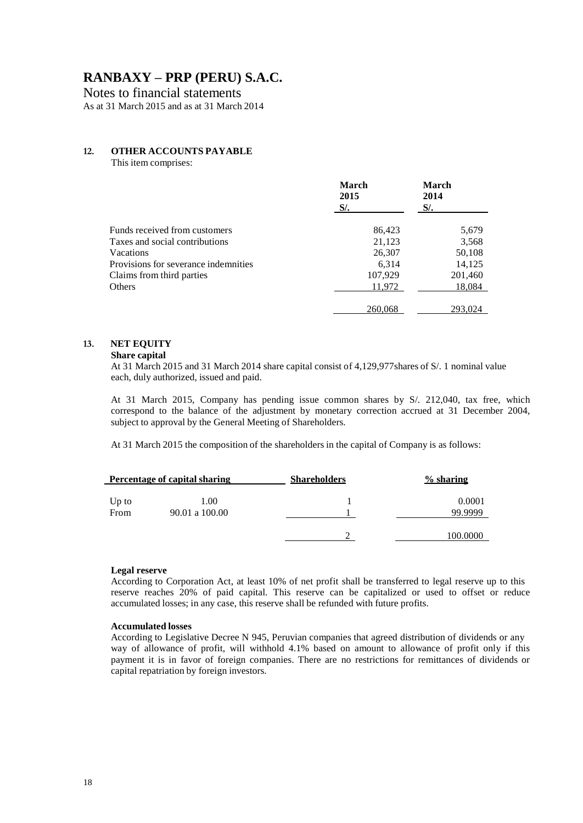Notes to financial statements

As at 31 March 2015 and as at 31 March 2014

### **12. OTHER ACCOUNTS PAYABLE**

This item comprises:

|                                      | <b>March</b><br>2015<br>$S/\sim$ | March<br>2014<br>$S$ /. |
|--------------------------------------|----------------------------------|-------------------------|
| Funds received from customers        | 86,423                           | 5,679                   |
| Taxes and social contributions       | 21,123                           | 3,568                   |
| Vacations                            | 26,307                           | 50,108                  |
| Provisions for severance indemnities | 6.314                            | 14,125                  |
| Claims from third parties            | 107,929                          | 201,460                 |
| Others                               | 11,972                           | 18,084                  |
|                                      | 260,068                          | 293,024                 |

### **13. NET EQUITY**

#### **Share capital**

At 31 March 2015 and 31 March 2014 share capital consist of 4,129,977shares of S/. 1 nominal value each, duly authorized, issued and paid.

At 31 March 2015, Company has pending issue common shares by S/. 212,040, tax free, which correspond to the balance of the adjustment by monetary correction accrued at 31 December 2004, subject to approval by the General Meeting of Shareholders.

At 31 March 2015 the composition of the shareholders in the capital of Company is as follows:

|                 | Percentage of capital sharing | <b>Shareholders</b> | $%$ sharing       |
|-----------------|-------------------------------|---------------------|-------------------|
| $Up$ to<br>From | 1.00<br>90.01 a 100.00        |                     | 0.0001<br>99.9999 |
|                 |                               |                     | 100.0000          |

#### **Legal reserve**

According to Corporation Act, at least 10% of net profit shall be transferred to legal reserve up to this reserve reaches 20% of paid capital. This reserve can be capitalized or used to offset or reduce accumulated losses; in any case, this reserve shall be refunded with future profits.

#### **Accumulated losses**

According to Legislative Decree N 945, Peruvian companies that agreed distribution of dividends or any way of allowance of profit, will withhold 4.1% based on amount to allowance of profit only if this payment it is in favor of foreign companies. There are no restrictions for remittances of dividends or capital repatriation by foreign investors.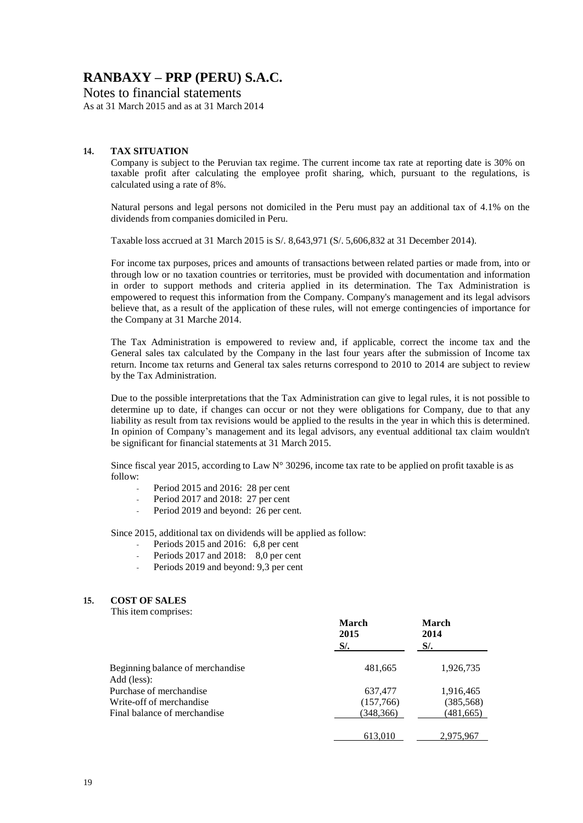Notes to financial statements

As at 31 March 2015 and as at 31 March 2014

#### **14. TAX SITUATION**

Company is subject to the Peruvian tax regime. The current income tax rate at reporting date is 30% on taxable profit after calculating the employee profit sharing, which, pursuant to the regulations, is calculated using a rate of 8%.

Natural persons and legal persons not domiciled in the Peru must pay an additional tax of 4.1% on the dividends from companies domiciled in Peru.

Taxable loss accrued at 31 March 2015 is S/. 8,643,971 (S/. 5,606,832 at 31 December 2014).

For income tax purposes, prices and amounts of transactions between related parties or made from, into or through low or no taxation countries or territories, must be provided with documentation and information in order to support methods and criteria applied in its determination. The Tax Administration is empowered to request this information from the Company. Company's management and its legal advisors believe that, as a result of the application of these rules, will not emerge contingencies of importance for the Company at 31 Marche 2014.

The Tax Administration is empowered to review and, if applicable, correct the income tax and the General sales tax calculated by the Company in the last four years after the submission of Income tax return. Income tax returns and General tax sales returns correspond to 2010 to 2014 are subject to review by the Tax Administration.

Due to the possible interpretations that the Tax Administration can give to legal rules, it is not possible to determine up to date, if changes can occur or not they were obligations for Company, due to that any liability as result from tax revisions would be applied to the results in the year in which this is determined. In opinion of Company's management and its legal advisors, any eventual additional tax claim wouldn't be significant for financial statements at 31 March 2015.

Since fiscal year 2015, according to Law  $N^{\circ}$  30296, income tax rate to be applied on profit taxable is as follow:

- *-* Period 2015 and 2016: 28 per cent
- *-* Period 2017 and 2018: 27 per cent
- Period 2019 and beyond: 26 per cent.

Since 2015, additional tax on dividends will be applied as follow:

- *-* Periods 2015 and 2016: 6,8 per cent
- *-* Periods 2017 and 2018: 8,0 per cent
- Periods 2019 and beyond: 9,3 per cent

#### **15. COST OF SALES**

This item comprises:

| $1.115$ 100 $111$ 0 $111$ 0 $110$ 0 $1$ | <b>March</b><br>2015<br>$S$ /. | <b>March</b><br>2014<br>$S$ /. |
|-----------------------------------------|--------------------------------|--------------------------------|
| Beginning balance of merchandise        | 481,665                        | 1,926,735                      |
| Add (less):<br>Purchase of merchandise  | 637,477                        | 1,916,465                      |
| Write-off of merchandise                | (157,766)                      | (385, 568)                     |
| Final balance of merchandise            | (348, 366)                     | (481, 665)                     |
|                                         | 613,010                        | 2,975,967                      |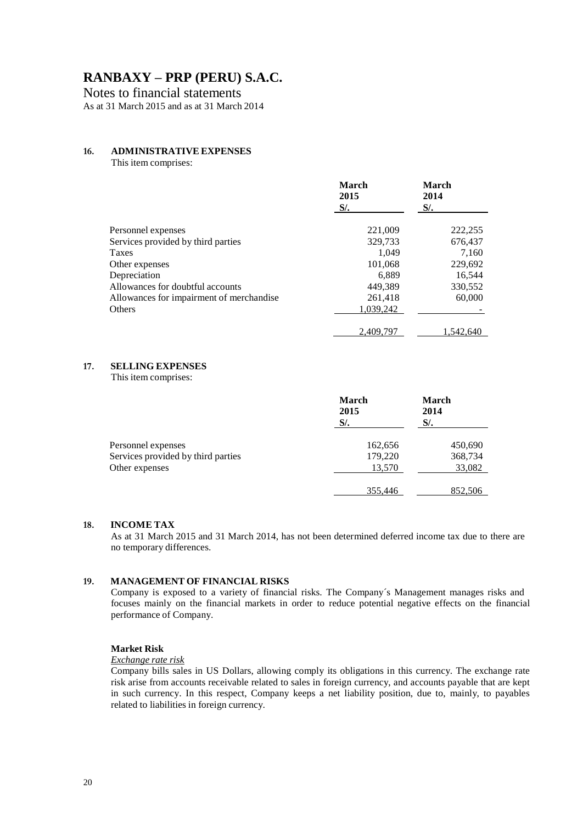Notes to financial statements

As at 31 March 2015 and as at 31 March 2014

#### **16. ADMINISTRATIVE EXPENSES**

This item comprises:

|                                          | March<br>2015<br>- S/. | March<br>2014<br>$S/\sim$ |
|------------------------------------------|------------------------|---------------------------|
| Personnel expenses                       | 221,009                | 222,255                   |
| Services provided by third parties       | 329,733                | 676,437                   |
| Taxes                                    | 1.049                  | 7,160                     |
| Other expenses                           | 101,068                | 229,692                   |
| Depreciation                             | 6.889                  | 16.544                    |
| Allowances for doubtful accounts         | 449.389                | 330,552                   |
| Allowances for impairment of merchandise | 261,418                | 60,000                    |
| <b>Others</b>                            | 1,039,242              |                           |
|                                          | 2.409.797              | 1.542.640                 |

#### **17. SELLING EXPENSES**

This item comprises:

|                                    | <b>March</b><br>2015<br>$S$ /. | <b>March</b><br>2014<br>$S$ . |
|------------------------------------|--------------------------------|-------------------------------|
| Personnel expenses                 | 162,656                        | 450,690                       |
| Services provided by third parties | 179,220                        | 368,734                       |
| Other expenses                     | 13,570                         | 33,082                        |
|                                    | 355,446                        | 852,506                       |

#### **18. INCOME TAX**

As at 31 March 2015 and 31 March 2014, has not been determined deferred income tax due to there are no temporary differences.

#### **19. MANAGEMENT OF FINANCIAL RISKS**

Company is exposed to a variety of financial risks. The Company´s Management manages risks and focuses mainly on the financial markets in order to reduce potential negative effects on the financial performance of Company.

#### **Market Risk**

*Exchange rate risk*

Company bills sales in US Dollars, allowing comply its obligations in this currency. The exchange rate risk arise from accounts receivable related to sales in foreign currency, and accounts payable that are kept in such currency. In this respect, Company keeps a net liability position, due to, mainly, to payables related to liabilities in foreign currency.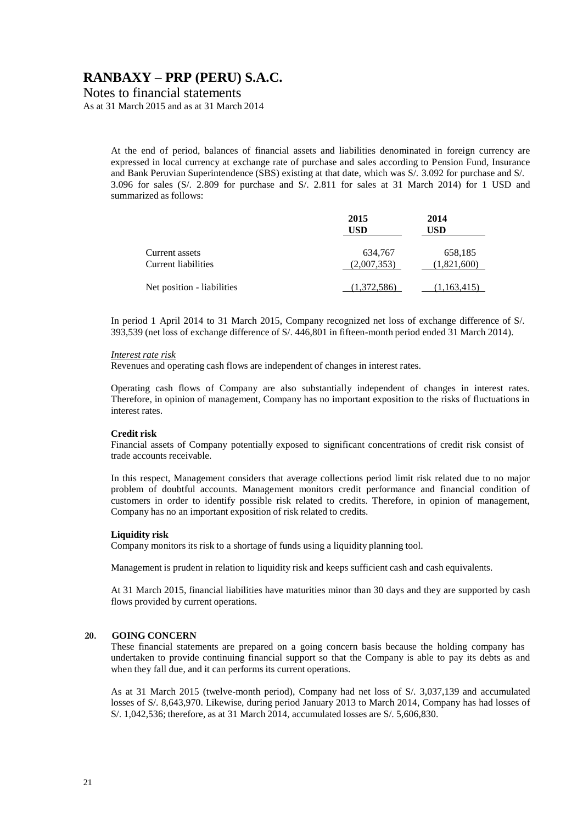Notes to financial statements

As at 31 March 2015 and as at 31 March 2014

At the end of period, balances of financial assets and liabilities denominated in foreign currency are expressed in local currency at exchange rate of purchase and sales according to Pension Fund, Insurance and Bank Peruvian Superintendence (SBS) existing at that date, which was S/. 3.092 for purchase and S/. 3.096 for sales (S/. 2.809 for purchase and S/. 2.811 for sales at 31 March 2014) for 1 USD and summarized as follows:

|                                       | 2015<br>USD            | 2014<br>USD            |
|---------------------------------------|------------------------|------------------------|
| Current assets<br>Current liabilities | 634,767<br>(2,007,353) | 658,185<br>(1.821.600) |
| Net position - liabilities            | (1,372,586)            | (1,163,415)            |

In period 1 April 2014 to 31 March 2015, Company recognized net loss of exchange difference of S/. 393,539 (net loss of exchange difference of S/. 446,801 in fifteen-month period ended 31 March 2014).

#### *Interest rate risk*

Revenues and operating cash flows are independent of changes in interest rates.

Operating cash flows of Company are also substantially independent of changes in interest rates. Therefore, in opinion of management, Company has no important exposition to the risks of fluctuations in interest rates.

#### **Credit risk**

Financial assets of Company potentially exposed to significant concentrations of credit risk consist of trade accounts receivable.

In this respect, Management considers that average collections period limit risk related due to no major problem of doubtful accounts. Management monitors credit performance and financial condition of customers in order to identify possible risk related to credits. Therefore, in opinion of management, Company has no an important exposition of risk related to credits.

#### **Liquidity risk**

Company monitors its risk to a shortage of funds using a liquidity planning tool.

Management is prudent in relation to liquidity risk and keeps sufficient cash and cash equivalents.

At 31 March 2015, financial liabilities have maturities minor than 30 days and they are supported by cash flows provided by current operations.

#### **20. GOING CONCERN**

These financial statements are prepared on a going concern basis because the holding company has undertaken to provide continuing financial support so that the Company is able to pay its debts as and when they fall due, and it can performs its current operations.

As at 31 March 2015 (twelve-month period), Company had net loss of S/. 3,037,139 and accumulated losses of S/. 8,643,970. Likewise, during period January 2013 to March 2014, Company has had losses of S/. 1,042,536; therefore, as at 31 March 2014, accumulated losses are S/. 5,606,830.